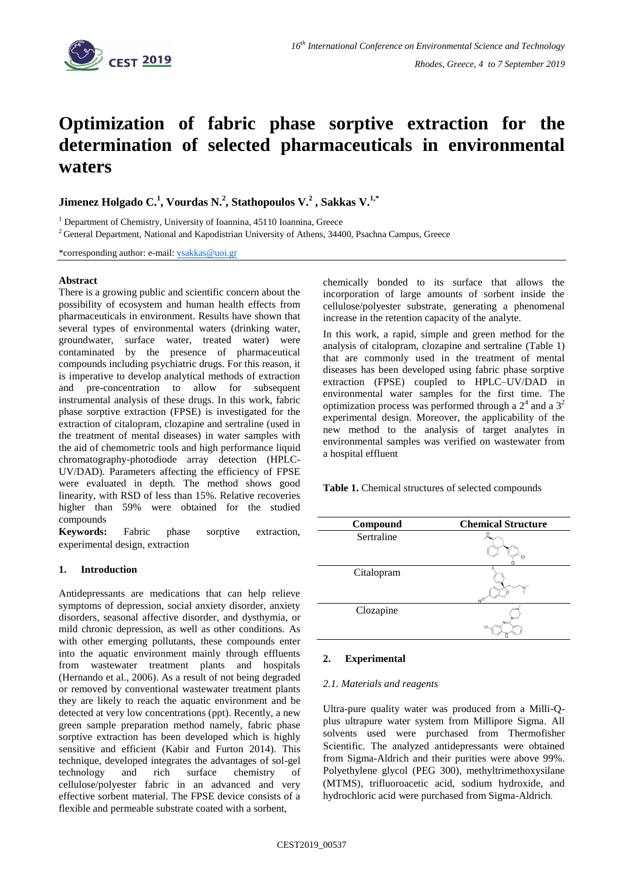

# **Optimization of fabric phase sorptive extraction for the determination of selected pharmaceuticals in environmental waters**

**Jimenez Holgado C.<sup>1</sup> , Vourdas N.<sup>2</sup> , Stathopoulos V.<sup>2</sup> , Sakkas V. 1,\***

<sup>1</sup> Department of Chemistry, University of Ioannina, 45110 Ioannina, Greece

<sup>2</sup> General Department, National and Kapodistrian University of Athens, 34400, Psachna Campus, Greece

\*corresponding author: e-mail: [vsakkas@uoi.gr](mailto:vsakkas@uoi.gr)

# **Abstract**

There is a growing public and scientific concern about the possibility of ecosystem and human health effects from pharmaceuticals in environment. Results have shown that several types of environmental waters (drinking water, groundwater, surface water, treated water) were contaminated by the presence of pharmaceutical compounds including psychiatric drugs. For this reason, it is imperative to develop analytical methods of extraction and pre-concentration to allow for subsequent instrumental analysis of these drugs. In this work, fabric phase sorptive extraction (FPSE) is investigated for the extraction of citalopram, clozapine and sertraline (used in the treatment of mental diseases) in water samples with the aid of chemometric tools and high performance liquid chromatography-photodiode array detection (HPLC-UV/DAD). Parameters affecting the efficiency of FPSE were evaluated in depth. The method shows good linearity, with RSD of less than 15%. Relative recoveries higher than 59% were obtained for the studied compounds

**Keywords:** Fabric phase sorptive extraction, experimental design, extraction

#### **1. Introduction**

Antidepressants are medications that can help relieve symptoms of depression, social anxiety disorder, anxiety disorders, seasonal affective disorder, and dysthymia, or mild chronic depression, as well as other conditions. As with other emerging pollutants, these compounds enter into the aquatic environment mainly through effluents from wastewater treatment plants and hospitals (Hernando et al., 2006). As a result of not being degraded or removed by conventional wastewater treatment plants they are likely to reach the aquatic environment and be detected at very low concentrations (ppt). Recently, a new green sample preparation method namely, fabric phase sorptive extraction has been developed which is highly sensitive and efficient (Kabir and Furton 2014). This technique, developed integrates the advantages of sol-gel technology and rich surface chemistry of cellulose/polyester fabric in an advanced and very effective sorbent material. The FPSE device consists of a flexible and permeable substrate coated with a sorbent,

chemically bonded to its surface that allows the incorporation of large amounts of sorbent inside the cellulose/polyester substrate, generating a phenomenal increase in the retention capacity of the analyte.

In this work, a rapid, simple and green method for the analysis of citalopram, clozapine and sertraline (Table 1) that are commonly used in the treatment of mental diseases has been developed using fabric phase sorptive extraction (FPSE) coupled to HPLC–UV/DAD in environmental water samples for the first time. The optimization process was performed through a  $2<sup>4</sup>$  and a  $3<sup>2</sup>$ experimental design. Moreover, the applicability of the new method to the analysis of target analytes in environmental samples was verified on wastewater from a hospital effluent

**Table 1.** Chemical structures of selected compounds



#### **2. Experimental**

#### *2.1. Materials and reagents*

Ultra-pure quality water was produced from a Milli-Qplus ultrapure water system from Millipore Sigma. All solvents used were purchased from Thermofisher Scientific. The analyzed antidepressants were obtained from Sigma-Aldrich and their purities were above 99%. Polyethylene glycol (PEG 300), methyltrimethoxysilane (MTMS), trifluoroacetic acid, sodium hydroxide, and hydrochloric acid were purchased from Sigma-Aldrich.